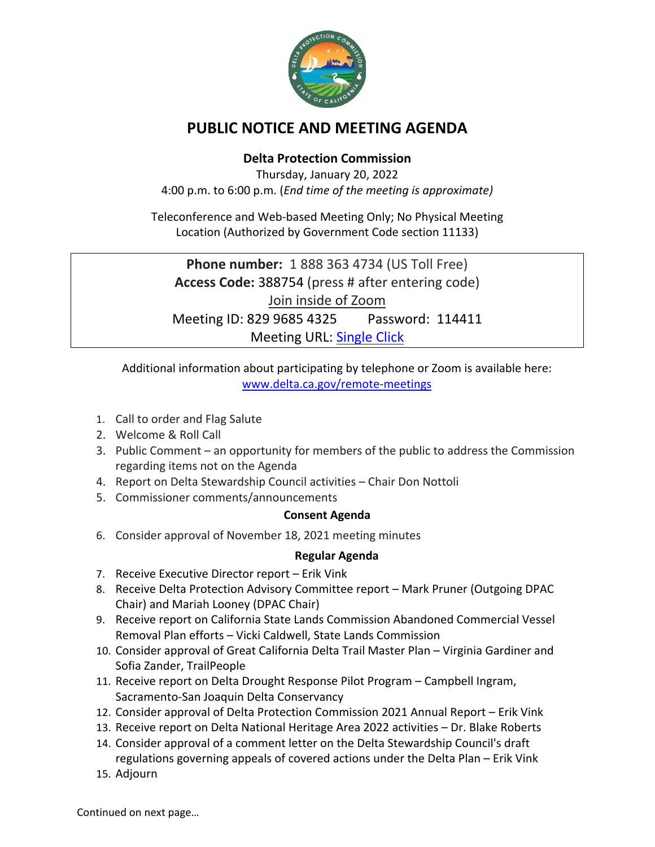

# **PUBLIC NOTICE AND MEETING AGENDA**

## **Delta Protection Commission**

Thursday, January 20, 2022 4:00 p.m. to 6:00 p.m. (*End time of the meeting is approximate)*

Teleconference and Web-based Meeting Only; No Physical Meeting Location (Authorized by Government Code section 11133)

**Phone number:** 1 888 363 4734 (US Toll Free) **Access Code:** 388754 (press # after entering code) Join inside of Zoom Meeting ID: 829 9685 4325 Password: 114411 Meeting URL: [Single Click](https://us06web.zoom.us/j/82996854325?pwd=RjFHNmhCVEhwZUF5bTRGS2ppSXlhdz09)

Additional information about participating by telephone or Zoom is available here: [www.delta.ca.gov/remote-meetings](http://www.delta.ca.gov/remote-meetings)

- 1. Call to order and Flag Salute
- 2. Welcome & Roll Call
- 3. Public Comment an opportunity for members of the public to address the Commission regarding items not on the Agenda
- 4. Report on Delta Stewardship Council activities Chair Don Nottoli
- 5. Commissioner comments/announcements

### **Consent Agenda**

6. Consider approval of November 18, 2021 meeting minutes

### **Regular Agenda**

- 7. Receive Executive Director report Erik Vink
- 8. Receive Delta Protection Advisory Committee report Mark Pruner (Outgoing DPAC Chair) and Mariah Looney (DPAC Chair)
- 9. Receive report on California State Lands Commission Abandoned Commercial Vessel Removal Plan efforts – Vicki Caldwell, State Lands Commission
- 10. Consider approval of Great California Delta Trail Master Plan Virginia Gardiner and Sofia Zander, TrailPeople
- 11. Receive report on Delta Drought Response Pilot Program Campbell Ingram, Sacramento-San Joaquin Delta Conservancy
- 12. Consider approval of Delta Protection Commission 2021 Annual Report Erik Vink
- 13. Receive report on Delta National Heritage Area 2022 activities Dr. Blake Roberts
- 14. Consider approval of a comment letter on the Delta Stewardship Council's draft regulations governing appeals of covered actions under the Delta Plan – Erik Vink
- 15. Adjourn